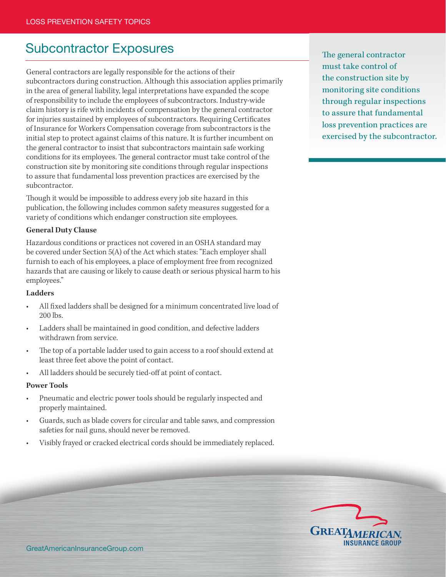# Subcontractor Exposures The general contractor

General contractors are legally responsible for the actions of their subcontractors during construction. Although this association applies primarily in the area of general liability, legal interpretations have expanded the scope of responsibility to include the employees of subcontractors. Industry-wide claim history is rife with incidents of compensation by the general contractor for injuries sustained by employees of subcontractors. Requiring Certificates of Insurance for Workers Compensation coverage from subcontractors is the initial step to protect against claims of this nature. It is further incumbent on the general contractor to insist that subcontractors maintain safe working conditions for its employees. The general contractor must take control of the construction site by monitoring site conditions through regular inspections to assure that fundamental loss prevention practices are exercised by the subcontractor.

Though it would be impossible to address every job site hazard in this publication, the following includes common safety measures suggested for a variety of conditions which endanger construction site employees.

#### **General Duty Clause**

Hazardous conditions or practices not covered in an OSHA standard may be covered under Section 5(A) of the Act which states: "Each employer shall furnish to each of his employees, a place of employment free from recognized hazards that are causing or likely to cause death or serious physical harm to his employees."

#### **Ladders**

- All fixed ladders shall be designed for a minimum concentrated live load of 200 lbs.
- Ladders shall be maintained in good condition, and defective ladders withdrawn from service.
- The top of a portable ladder used to gain access to a roof should extend at least three feet above the point of contact.
- All ladders should be securely tied-off at point of contact.

#### **Power Tools**

- Pneumatic and electric power tools should be regularly inspected and properly maintained.
- Guards, such as blade covers for circular and table saws, and compression safeties for nail guns, should never be removed.
- Visibly frayed or cracked electrical cords should be immediately replaced.

must take control of the construction site by monitoring site conditions through regular inspections to assure that fundamental loss prevention practices are exercised by the subcontractor.